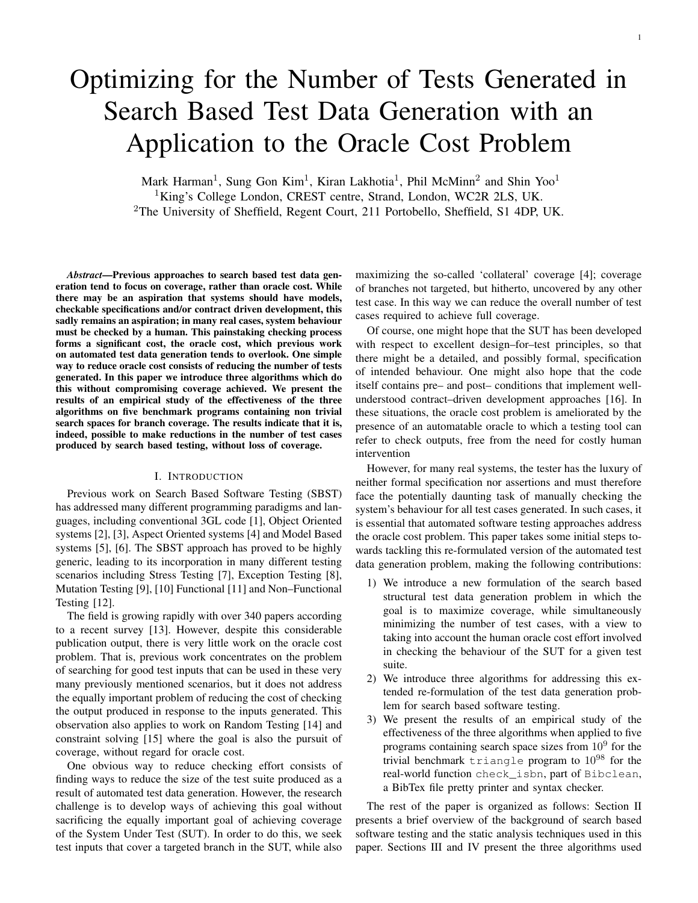# Optimizing for the Number of Tests Generated in Search Based Test Data Generation with an Application to the Oracle Cost Problem

Mark Harman<sup>1</sup>, Sung Gon Kim<sup>1</sup>, Kiran Lakhotia<sup>1</sup>, Phil McMinn<sup>2</sup> and Shin Yoo<sup>1</sup> <sup>1</sup>King's College London, CREST centre, Strand, London, WC2R 2LS, UK. <sup>2</sup>The University of Sheffield, Regent Court, 211 Portobello, Sheffield, S1 4DP, UK.

*Abstract*—Previous approaches to search based test data generation tend to focus on coverage, rather than oracle cost. While there may be an aspiration that systems should have models, checkable specifications and/or contract driven development, this sadly remains an aspiration; in many real cases, system behaviour must be checked by a human. This painstaking checking process forms a significant cost, the oracle cost, which previous work on automated test data generation tends to overlook. One simple way to reduce oracle cost consists of reducing the number of tests generated. In this paper we introduce three algorithms which do this without compromising coverage achieved. We present the results of an empirical study of the effectiveness of the three algorithms on five benchmark programs containing non trivial search spaces for branch coverage. The results indicate that it is, indeed, possible to make reductions in the number of test cases produced by search based testing, without loss of coverage.

## I. INTRODUCTION

Previous work on Search Based Software Testing (SBST) has addressed many different programming paradigms and languages, including conventional 3GL code [1], Object Oriented systems [2], [3], Aspect Oriented systems [4] and Model Based systems [5], [6]. The SBST approach has proved to be highly generic, leading to its incorporation in many different testing scenarios including Stress Testing [7], Exception Testing [8], Mutation Testing [9], [10] Functional [11] and Non–Functional Testing [12].

The field is growing rapidly with over 340 papers according to a recent survey [13]. However, despite this considerable publication output, there is very little work on the oracle cost problem. That is, previous work concentrates on the problem of searching for good test inputs that can be used in these very many previously mentioned scenarios, but it does not address the equally important problem of reducing the cost of checking the output produced in response to the inputs generated. This observation also applies to work on Random Testing [14] and constraint solving [15] where the goal is also the pursuit of coverage, without regard for oracle cost.

One obvious way to reduce checking effort consists of finding ways to reduce the size of the test suite produced as a result of automated test data generation. However, the research challenge is to develop ways of achieving this goal without sacrificing the equally important goal of achieving coverage of the System Under Test (SUT). In order to do this, we seek test inputs that cover a targeted branch in the SUT, while also

maximizing the so-called 'collateral' coverage [4]; coverage of branches not targeted, but hitherto, uncovered by any other test case. In this way we can reduce the overall number of test cases required to achieve full coverage.

Of course, one might hope that the SUT has been developed with respect to excellent design–for–test principles, so that there might be a detailed, and possibly formal, specification of intended behaviour. One might also hope that the code itself contains pre– and post– conditions that implement wellunderstood contract–driven development approaches [16]. In these situations, the oracle cost problem is ameliorated by the presence of an automatable oracle to which a testing tool can refer to check outputs, free from the need for costly human intervention

However, for many real systems, the tester has the luxury of neither formal specification nor assertions and must therefore face the potentially daunting task of manually checking the system's behaviour for all test cases generated. In such cases, it is essential that automated software testing approaches address the oracle cost problem. This paper takes some initial steps towards tackling this re-formulated version of the automated test data generation problem, making the following contributions:

- 1) We introduce a new formulation of the search based structural test data generation problem in which the goal is to maximize coverage, while simultaneously minimizing the number of test cases, with a view to taking into account the human oracle cost effort involved in checking the behaviour of the SUT for a given test suite.
- 2) We introduce three algorithms for addressing this extended re-formulation of the test data generation problem for search based software testing.
- 3) We present the results of an empirical study of the effectiveness of the three algorithms when applied to five programs containing search space sizes from  $10<sup>9</sup>$  for the trivial benchmark triangle program to  $10^{98}$  for the real-world function check\_isbn, part of Bibclean, a BibTex file pretty printer and syntax checker.

The rest of the paper is organized as follows: Section II presents a brief overview of the background of search based software testing and the static analysis techniques used in this paper. Sections III and IV present the three algorithms used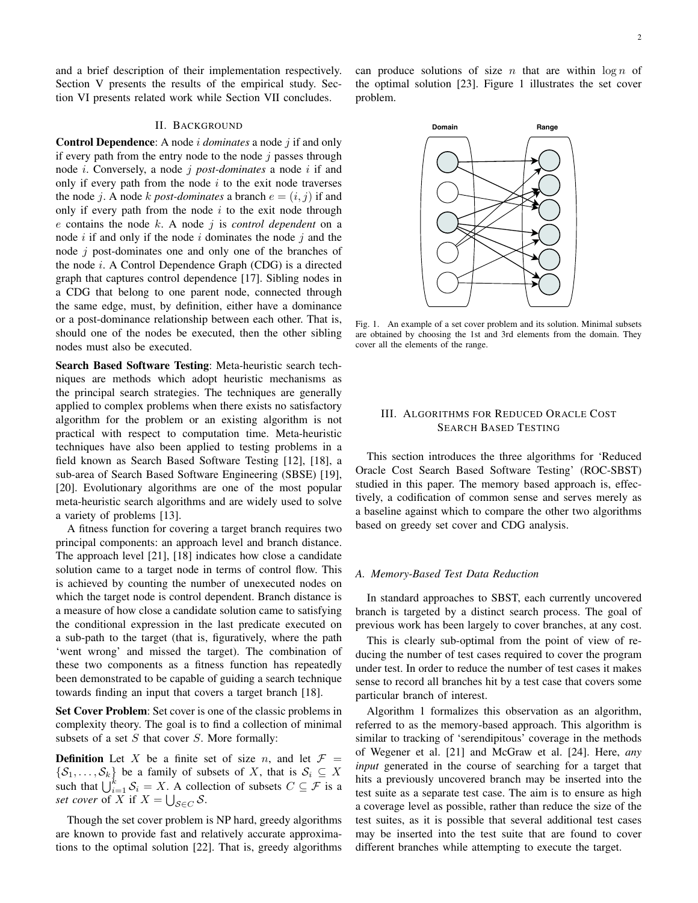and a brief description of their implementation respectively. Section V presents the results of the empirical study. Section VI presents related work while Section VII concludes.

#### II. BACKGROUND

Control Dependence: A node i *dominates* a node j if and only if every path from the entry node to the node  $j$  passes through node i. Conversely, a node j *post-dominates* a node i if and only if every path from the node  $i$  to the exit node traverses the node j. A node k *post-dominates* a branch  $e = (i, j)$  if and only if every path from the node  $i$  to the exit node through e contains the node k. A node j is *control dependent* on a node  $i$  if and only if the node  $i$  dominates the node  $j$  and the node j post-dominates one and only one of the branches of the node  $i$ . A Control Dependence Graph (CDG) is a directed graph that captures control dependence [17]. Sibling nodes in a CDG that belong to one parent node, connected through the same edge, must, by definition, either have a dominance or a post-dominance relationship between each other. That is, should one of the nodes be executed, then the other sibling nodes must also be executed.

Search Based Software Testing: Meta-heuristic search techniques are methods which adopt heuristic mechanisms as the principal search strategies. The techniques are generally applied to complex problems when there exists no satisfactory algorithm for the problem or an existing algorithm is not practical with respect to computation time. Meta-heuristic techniques have also been applied to testing problems in a field known as Search Based Software Testing [12], [18], a sub-area of Search Based Software Engineering (SBSE) [19], [20]. Evolutionary algorithms are one of the most popular meta-heuristic search algorithms and are widely used to solve a variety of problems [13].

A fitness function for covering a target branch requires two principal components: an approach level and branch distance. The approach level [21], [18] indicates how close a candidate solution came to a target node in terms of control flow. This is achieved by counting the number of unexecuted nodes on which the target node is control dependent. Branch distance is a measure of how close a candidate solution came to satisfying the conditional expression in the last predicate executed on a sub-path to the target (that is, figuratively, where the path 'went wrong' and missed the target). The combination of these two components as a fitness function has repeatedly been demonstrated to be capable of guiding a search technique towards finding an input that covers a target branch [18].

Set Cover Problem: Set cover is one of the classic problems in complexity theory. The goal is to find a collection of minimal subsets of a set  $S$  that cover  $S$ . More formally:

**Definition** Let X be a finite set of size n, and let  $\mathcal{F}$  =  $\{\mathcal{S}_1,\ldots,\mathcal{S}_k\}$  be a family of subsets of X, that is  $\mathcal{S}_i \subseteq X$ such that  $\bigcup_{i=1}^{k} S_i = X$ . A collection of subsets  $C \subseteq \mathcal{F}$  is a *set cover* of  $\overline{X}$  if  $X = \bigcup_{\mathcal{S} \in C} \mathcal{S}$ .

Though the set cover problem is NP hard, greedy algorithms are known to provide fast and relatively accurate approximations to the optimal solution [22]. That is, greedy algorithms can produce solutions of size n that are within  $\log n$  of the optimal solution [23]. Figure 1 illustrates the set cover problem.



Fig. 1. An example of a set cover problem and its solution. Minimal subsets are obtained by choosing the 1st and 3rd elements from the domain. They cover all the elements of the range.

# III. ALGORITHMS FOR REDUCED ORACLE COST SEARCH BASED TESTING

This section introduces the three algorithms for 'Reduced Oracle Cost Search Based Software Testing' (ROC-SBST) studied in this paper. The memory based approach is, effectively, a codification of common sense and serves merely as a baseline against which to compare the other two algorithms based on greedy set cover and CDG analysis.

#### *A. Memory-Based Test Data Reduction*

In standard approaches to SBST, each currently uncovered branch is targeted by a distinct search process. The goal of previous work has been largely to cover branches, at any cost.

This is clearly sub-optimal from the point of view of reducing the number of test cases required to cover the program under test. In order to reduce the number of test cases it makes sense to record all branches hit by a test case that covers some particular branch of interest.

Algorithm 1 formalizes this observation as an algorithm, referred to as the memory-based approach. This algorithm is similar to tracking of 'serendipitous' coverage in the methods of Wegener et al. [21] and McGraw et al. [24]. Here, *any input* generated in the course of searching for a target that hits a previously uncovered branch may be inserted into the test suite as a separate test case. The aim is to ensure as high a coverage level as possible, rather than reduce the size of the test suites, as it is possible that several additional test cases may be inserted into the test suite that are found to cover different branches while attempting to execute the target.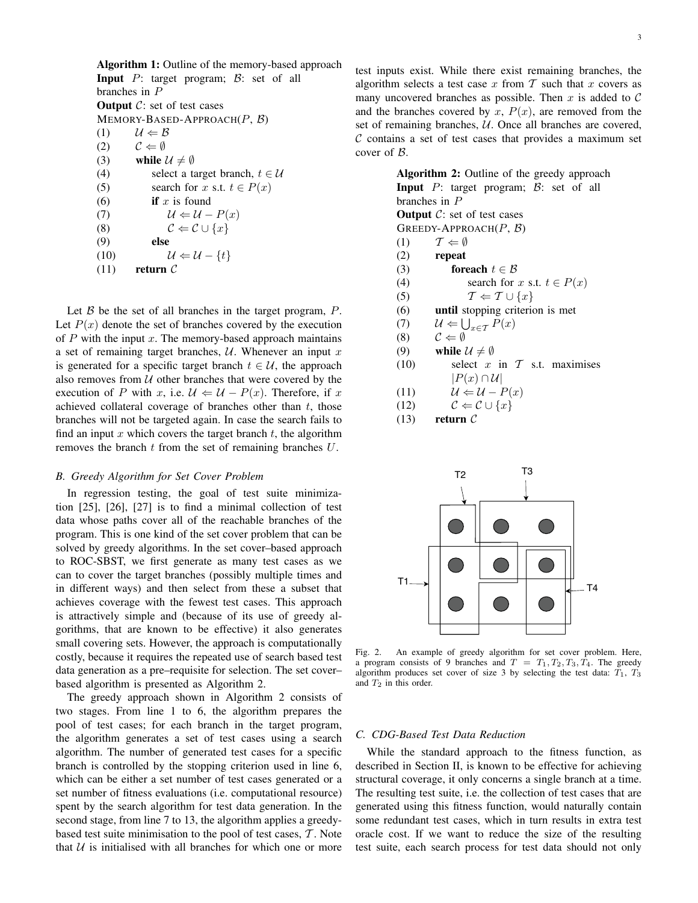```
Algorithm 1: Outline of the memory-based approach
Input P: target program; \beta: set of all
branches in P
Output C: set of test cases
MEMORY-BASED-APPROACH(P, \mathcal{B})<br>(1) \mathcal{U} \Leftarrow \mathcal{B}(1) \mathcal{U} \Leftarrow \mathcal{B}<br>(2) \mathcal{C} \Leftarrow \emptyset(2) C \Leftarrow \emptyset<br>(3) while \emptyset(3) while \mathcal{U} \neq \emptyset<br>(4) select a ta
(4) select a target branch, t \in U<br>(5) search for x s.t. t \in P(x)(5) search for x s.t. t \in P(x)<br>(6) if x is found
                     if x is found
(7) \mathcal{U} \Leftarrow \mathcal{U} - P(x)<br>
(8) \mathcal{C} \Leftarrow \mathcal{C} \cup \{x\}(8) C \Leftarrow C \cup \{x\}<br>(9) else
                     (9) else
(10) \mathcal{U} \Leftarrow \mathcal{U} - \{t\}<br>(11) return \mathcal{C}return C
```
Let  $\beta$  be the set of all branches in the target program,  $P$ . Let  $P(x)$  denote the set of branches covered by the execution of  $P$  with the input  $x$ . The memory-based approach maintains a set of remaining target branches,  $U$ . Whenever an input x is generated for a specific target branch  $t \in \mathcal{U}$ , the approach also removes from  $U$  other branches that were covered by the execution of P with x, i.e.  $\mathcal{U} \Leftarrow \mathcal{U} - P(x)$ . Therefore, if x achieved collateral coverage of branches other than  $t$ , those branches will not be targeted again. In case the search fails to find an input  $x$  which covers the target branch  $t$ , the algorithm removes the branch  $t$  from the set of remaining branches  $U$ .

## *B. Greedy Algorithm for Set Cover Problem*

In regression testing, the goal of test suite minimization [25], [26], [27] is to find a minimal collection of test data whose paths cover all of the reachable branches of the program. This is one kind of the set cover problem that can be solved by greedy algorithms. In the set cover–based approach to ROC-SBST, we first generate as many test cases as we can to cover the target branches (possibly multiple times and in different ways) and then select from these a subset that achieves coverage with the fewest test cases. This approach is attractively simple and (because of its use of greedy algorithms, that are known to be effective) it also generates small covering sets. However, the approach is computationally costly, because it requires the repeated use of search based test data generation as a pre–requisite for selection. The set cover– based algorithm is presented as Algorithm 2.

The greedy approach shown in Algorithm 2 consists of two stages. From line 1 to 6, the algorithm prepares the pool of test cases; for each branch in the target program, the algorithm generates a set of test cases using a search algorithm. The number of generated test cases for a specific branch is controlled by the stopping criterion used in line 6, which can be either a set number of test cases generated or a set number of fitness evaluations (i.e. computational resource) spent by the search algorithm for test data generation. In the second stage, from line 7 to 13, the algorithm applies a greedybased test suite minimisation to the pool of test cases,  $\mathcal{T}$ . Note that  $U$  is initialised with all branches for which one or more test inputs exist. While there exist remaining branches, the algorithm selects a test case x from  $\mathcal T$  such that x covers as many uncovered branches as possible. Then  $x$  is added to  $C$ and the branches covered by  $x$ ,  $P(x)$ , are removed from the set of remaining branches,  $U$ . Once all branches are covered,  $C$  contains a set of test cases that provides a maximum set cover of B.

> Algorithm 2: Outline of the greedy approach Input P: target program; B: set of all branches in P **Output**  $C$ : set of test cases GREEDY-APPROACH $(P, \mathcal{B})$ <br>(1)  $\mathcal{T} \Leftarrow \emptyset$ (1)  $T \Leftarrow \emptyset$ <br>(2) repeat repeat (3) for each  $t \in \mathcal{B}$ <br>(4) search for : (4) search for x s.t.  $t \in P(x)$ <br>(5)  $\mathcal{T} \Leftarrow \mathcal{T} \cup \{x\}$ (5)  $\mathcal{T} \Leftarrow \mathcal{T} \cup \{x\}$ <br>(6) **until** stopping criterion until stopping criterion is met (7)  $\mathcal{U} \Leftarrow \bigcup_{x \in \mathcal{T}} P(x)$ (8)  $C \Leftarrow \emptyset$ <br>(9) while  $\lambda$ (9) while  $\mathcal{U} \neq \emptyset$ <br>(10) select x select  $x$  in  $T$  s.t. maximises  $|P(x) \cap U|$ (11)  $\mathcal{U} \Leftarrow \mathcal{U} - P(x)$ <br>(12)  $\mathcal{C} \Leftarrow \mathcal{C} \cup \{x\}$ (12)  $\mathcal{C} \Leftarrow \mathcal{C} \cup \{x\}$ <br>(13) return  $\mathcal{C}$ return  $C$



Fig. 2. An example of greedy algorithm for set cover problem. Here, a program consists of 9 branches and  $T = T_1, T_2, T_3, T_4$ . The greedy algorithm produces set cover of size 3 by selecting the test data:  $T_1$ ,  $T_3$ and  $T_2$  in this order.

# *C. CDG-Based Test Data Reduction*

While the standard approach to the fitness function, as described in Section II, is known to be effective for achieving structural coverage, it only concerns a single branch at a time. The resulting test suite, i.e. the collection of test cases that are generated using this fitness function, would naturally contain some redundant test cases, which in turn results in extra test oracle cost. If we want to reduce the size of the resulting test suite, each search process for test data should not only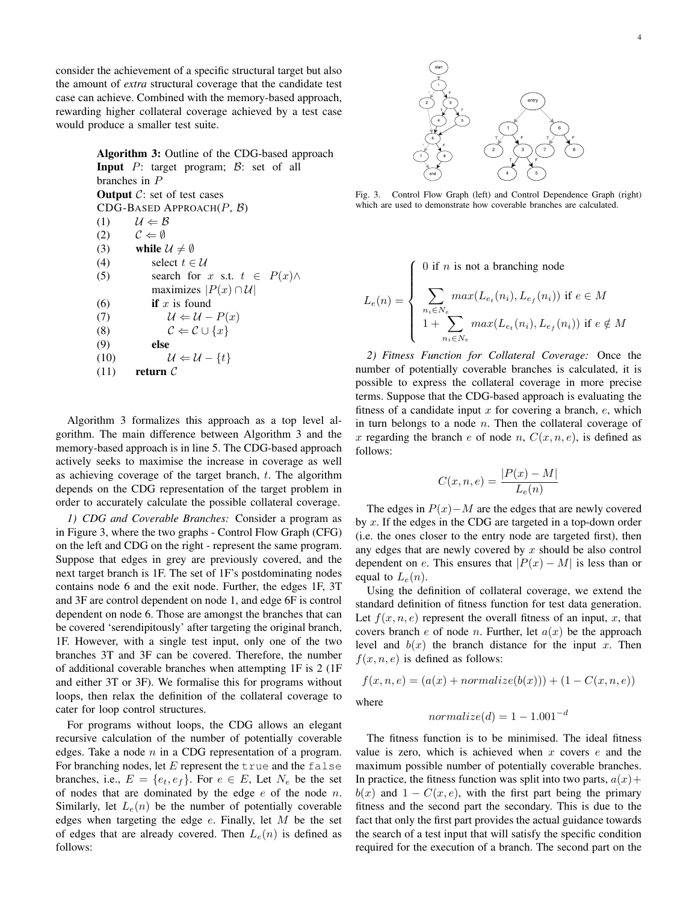consider the achievement of a specific structural target but also the amount of *extra* structural coverage that the candidate test case can achieve. Combined with the memory-based approach, rewarding higher collateral coverage achieved by a test case would produce a smaller test suite.

> Algorithm 3: Outline of the CDG-based approach **Input**  $P$ : target program;  $B$ : set of all branches in P **Output**  $C$ : set of test cases CDG-BASED APPROACH $(P, \mathcal{B})$ <br>(1)  $\mathcal{U} \Leftarrow \mathcal{B}$ (1)  $\mathcal{U} \Leftarrow \mathcal{B}$ <br>(2)  $\mathcal{C} \Leftarrow \emptyset$ (2)  $C \Leftarrow \emptyset$ <br>(3) while  $\lambda$ (3) while  $\mathcal{U} \neq \emptyset$ <br>(4) select  $t \in$ (4) select  $t \in U$ <br>(5) search for search for x s.t.  $t \in P(x) \wedge$ maximizes  $|P(x) \cap U|$ (6) if x is found (7)  $\mathcal{U} \Leftarrow \mathcal{U} - P(x)$ <br>
> (8)  $\mathcal{C} \Leftarrow \mathcal{C} \cup \{x\}$ (8)  $C \Leftarrow C \cup \{x\}$ <br>(9) **else** else (10)  $\mathcal{U} \Leftarrow \mathcal{U} - \{t\}$ <br>(11) return C return  $C$

Algorithm 3 formalizes this approach as a top level algorithm. The main difference between Algorithm 3 and the memory-based approach is in line 5. The CDG-based approach actively seeks to maximise the increase in coverage as well as achieving coverage of the target branch,  $t$ . The algorithm depends on the CDG representation of the target problem in order to accurately calculate the possible collateral coverage.

*1) CDG and Coverable Branches:* Consider a program as in Figure 3, where the two graphs - Control Flow Graph (CFG) on the left and CDG on the right - represent the same program. Suppose that edges in grey are previously covered, and the next target branch is 1F. The set of 1F's postdominating nodes contains node 6 and the exit node. Further, the edges 1F, 3T and 3F are control dependent on node 1, and edge 6F is control dependent on node 6. Those are amongst the branches that can be covered 'serendipitously' after targeting the original branch, 1F. However, with a single test input, only one of the two branches 3T and 3F can be covered. Therefore, the number of additional coverable branches when attempting 1F is 2 (1F and either 3T or 3F). We formalise this for programs without loops, then relax the definition of the collateral coverage to cater for loop control structures.

For programs without loops, the CDG allows an elegant recursive calculation of the number of potentially coverable edges. Take a node  $n$  in a CDG representation of a program. For branching nodes, let  $E$  represent the true and the false branches, i.e.,  $E = \{e_t, e_f\}$ . For  $e \in E$ , Let  $N_e$  be the set of nodes that are dominated by the edge  $e$  of the node  $n$ . Similarly, let  $L_e(n)$  be the number of potentially coverable edges when targeting the edge  $e$ . Finally, let  $M$  be the set of edges that are already covered. Then  $L_e(n)$  is defined as follows:



Fig. 3. Control Flow Graph (left) and Control Dependence Graph (right) which are used to demonstrate how coverable branches are calculated.

 $\sqrt{ }$ 0 if  $n$  is not a branching node

$$
L_e(n) = \begin{cases} \sum_{n_i \in N_e} max(L_{e_t}(n_i), L_{e_f}(n_i)) & \text{if } e \in M \\ \sum_{n_i \in N_e} max(L_{e_t}(n_i), L_{e_f}(n_i)) & \text{if } e \notin M \end{cases}
$$

*2) Fitness Function for Collateral Coverage:* Once the number of potentially coverable branches is calculated, it is possible to express the collateral coverage in more precise terms. Suppose that the CDG-based approach is evaluating the fitness of a candidate input  $x$  for covering a branch,  $e$ , which in turn belongs to a node  $n$ . Then the collateral coverage of x regarding the branch e of node n,  $C(x, n, e)$ , is defined as follows:

$$
C(x, n, e) = \frac{|P(x) - M|}{L_e(n)}
$$

The edges in  $P(x)$ −M are the edges that are newly covered by x. If the edges in the CDG are targeted in a top-down order (i.e. the ones closer to the entry node are targeted first), then any edges that are newly covered by  $x$  should be also control dependent on e. This ensures that  $|P(x) - M|$  is less than or equal to  $L_e(n)$ .

Using the definition of collateral coverage, we extend the standard definition of fitness function for test data generation. Let  $f(x, n, e)$  represent the overall fitness of an input, x, that covers branch e of node n. Further, let  $a(x)$  be the approach level and  $b(x)$  the branch distance for the input x. Then  $f(x, n, e)$  is defined as follows:

$$
f(x, n, e) = (a(x) + normalize(b(x))) + (1 - C(x, n, e))
$$

where

$$
normalize(d) = 1 - 1.001^{-d}
$$

The fitness function is to be minimised. The ideal fitness value is zero, which is achieved when  $x$  covers  $e$  and the maximum possible number of potentially coverable branches. In practice, the fitness function was split into two parts,  $a(x)$  +  $b(x)$  and  $1 - C(x, e)$ , with the first part being the primary fitness and the second part the secondary. This is due to the fact that only the first part provides the actual guidance towards the search of a test input that will satisfy the specific condition required for the execution of a branch. The second part on the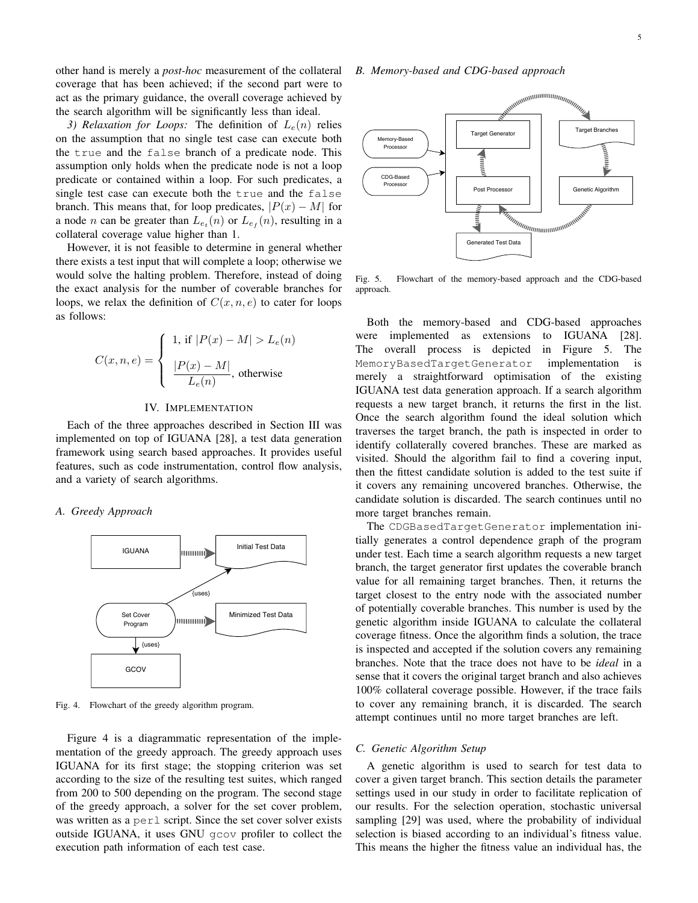other hand is merely a *post-hoc* measurement of the collateral coverage that has been achieved; if the second part were to act as the primary guidance, the overall coverage achieved by the search algorithm will be significantly less than ideal.

3) Relaxation for Loops: The definition of  $L_e(n)$  relies on the assumption that no single test case can execute both the true and the false branch of a predicate node. This assumption only holds when the predicate node is not a loop predicate or contained within a loop. For such predicates, a single test case can execute both the true and the false branch. This means that, for loop predicates,  $|P(x) - M|$  for a node *n* can be greater than  $L_{e_t}(n)$  or  $L_{e_f}(n)$ , resulting in a collateral coverage value higher than 1.

However, it is not feasible to determine in general whether there exists a test input that will complete a loop; otherwise we would solve the halting problem. Therefore, instead of doing the exact analysis for the number of coverable branches for loops, we relax the definition of  $C(x, n, e)$  to cater for loops as follows:

$$
C(x, n, e) = \begin{cases} 1, & \text{if } |P(x) - M| > L_e(n) \\ & \frac{|P(x) - M|}{L_e(n)}, \text{ otherwise} \end{cases}
$$

## IV. IMPLEMENTATION

Each of the three approaches described in Section III was implemented on top of IGUANA [28], a test data generation framework using search based approaches. It provides useful features, such as code instrumentation, control flow analysis, and a variety of search algorithms.

#### *A. Greedy Approach*



Fig. 4. Flowchart of the greedy algorithm program.

Figure 4 is a diagrammatic representation of the implementation of the greedy approach. The greedy approach uses IGUANA for its first stage; the stopping criterion was set according to the size of the resulting test suites, which ranged from 200 to 500 depending on the program. The second stage of the greedy approach, a solver for the set cover problem, was written as a perl script. Since the set cover solver exists outside IGUANA, it uses GNU gcov profiler to collect the execution path information of each test case.

#### *B. Memory-based and CDG-based approach*



Fig. 5. Flowchart of the memory-based approach and the CDG-based approach.

Both the memory-based and CDG-based approaches were implemented as extensions to IGUANA [28]. The overall process is depicted in Figure 5. The MemoryBasedTargetGenerator implementation is merely a straightforward optimisation of the existing IGUANA test data generation approach. If a search algorithm requests a new target branch, it returns the first in the list. Once the search algorithm found the ideal solution which traverses the target branch, the path is inspected in order to identify collaterally covered branches. These are marked as visited. Should the algorithm fail to find a covering input, then the fittest candidate solution is added to the test suite if it covers any remaining uncovered branches. Otherwise, the candidate solution is discarded. The search continues until no more target branches remain.

The CDGBasedTargetGenerator implementation initially generates a control dependence graph of the program under test. Each time a search algorithm requests a new target branch, the target generator first updates the coverable branch value for all remaining target branches. Then, it returns the target closest to the entry node with the associated number of potentially coverable branches. This number is used by the genetic algorithm inside IGUANA to calculate the collateral coverage fitness. Once the algorithm finds a solution, the trace is inspected and accepted if the solution covers any remaining branches. Note that the trace does not have to be *ideal* in a sense that it covers the original target branch and also achieves 100% collateral coverage possible. However, if the trace fails to cover any remaining branch, it is discarded. The search attempt continues until no more target branches are left.

#### *C. Genetic Algorithm Setup*

A genetic algorithm is used to search for test data to cover a given target branch. This section details the parameter settings used in our study in order to facilitate replication of our results. For the selection operation, stochastic universal sampling [29] was used, where the probability of individual selection is biased according to an individual's fitness value. This means the higher the fitness value an individual has, the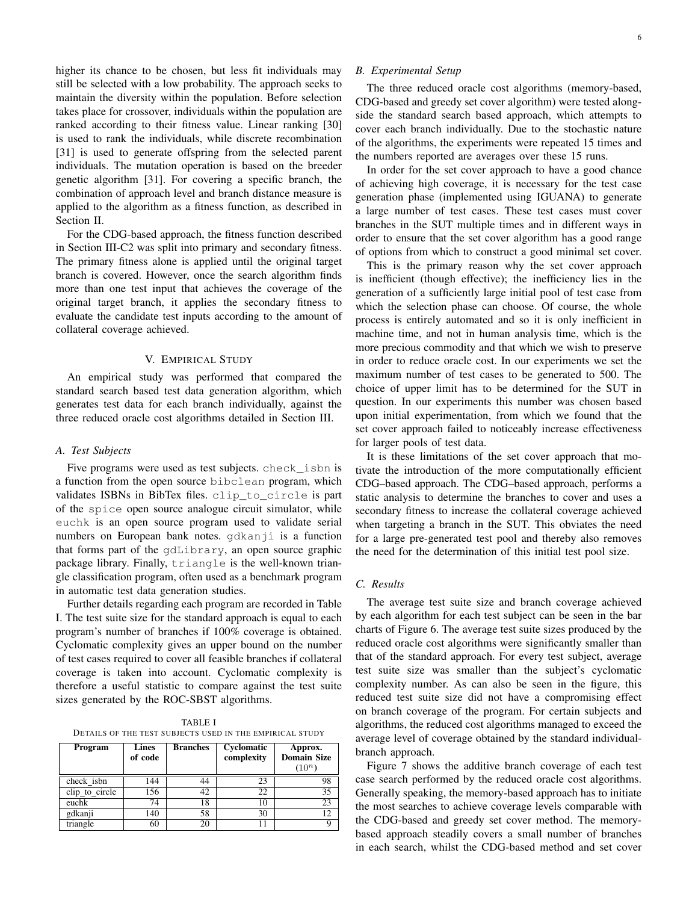higher its chance to be chosen, but less fit individuals may still be selected with a low probability. The approach seeks to maintain the diversity within the population. Before selection takes place for crossover, individuals within the population are ranked according to their fitness value. Linear ranking [30] is used to rank the individuals, while discrete recombination [31] is used to generate offspring from the selected parent individuals. The mutation operation is based on the breeder genetic algorithm [31]. For covering a specific branch, the combination of approach level and branch distance measure is applied to the algorithm as a fitness function, as described in Section II.

For the CDG-based approach, the fitness function described in Section III-C2 was split into primary and secondary fitness. The primary fitness alone is applied until the original target branch is covered. However, once the search algorithm finds more than one test input that achieves the coverage of the original target branch, it applies the secondary fitness to evaluate the candidate test inputs according to the amount of collateral coverage achieved.

#### V. EMPIRICAL STUDY

An empirical study was performed that compared the standard search based test data generation algorithm, which generates test data for each branch individually, against the three reduced oracle cost algorithms detailed in Section III.

## *A. Test Subjects*

Five programs were used as test subjects. check\_isbn is a function from the open source bibclean program, which validates ISBNs in BibTex files. clip\_to\_circle is part of the spice open source analogue circuit simulator, while euchk is an open source program used to validate serial numbers on European bank notes. gdkanji is a function that forms part of the gdLibrary, an open source graphic package library. Finally, triangle is the well-known triangle classification program, often used as a benchmark program in automatic test data generation studies.

Further details regarding each program are recorded in Table I. The test suite size for the standard approach is equal to each program's number of branches if 100% coverage is obtained. Cyclomatic complexity gives an upper bound on the number of test cases required to cover all feasible branches if collateral coverage is taken into account. Cyclomatic complexity is therefore a useful statistic to compare against the test suite sizes generated by the ROC-SBST algorithms.

TABLE I DETAILS OF THE TEST SUBJECTS USED IN THE EMPIRICAL STUDY

| Program        | Lines<br>of code | <b>Branches</b> | Cyclomatic<br>complexity | Approx.<br><b>Domain Size</b><br>$(10^n)$ |
|----------------|------------------|-----------------|--------------------------|-------------------------------------------|
| check isbn     | 144              | 44              | 23                       | 98                                        |
| clip_to_circle | 156              | 42              | 22                       | 35                                        |
| euchk          | 74               | 18              | 10                       | 23                                        |
| gdkanji        | 140              | 58              | 30                       | 12                                        |
| triangle       | 60               | 20              |                          |                                           |

#### *B. Experimental Setup*

The three reduced oracle cost algorithms (memory-based, CDG-based and greedy set cover algorithm) were tested alongside the standard search based approach, which attempts to cover each branch individually. Due to the stochastic nature of the algorithms, the experiments were repeated 15 times and the numbers reported are averages over these 15 runs.

In order for the set cover approach to have a good chance of achieving high coverage, it is necessary for the test case generation phase (implemented using IGUANA) to generate a large number of test cases. These test cases must cover branches in the SUT multiple times and in different ways in order to ensure that the set cover algorithm has a good range of options from which to construct a good minimal set cover.

This is the primary reason why the set cover approach is inefficient (though effective); the inefficiency lies in the generation of a sufficiently large initial pool of test case from which the selection phase can choose. Of course, the whole process is entirely automated and so it is only inefficient in machine time, and not in human analysis time, which is the more precious commodity and that which we wish to preserve in order to reduce oracle cost. In our experiments we set the maximum number of test cases to be generated to 500. The choice of upper limit has to be determined for the SUT in question. In our experiments this number was chosen based upon initial experimentation, from which we found that the set cover approach failed to noticeably increase effectiveness for larger pools of test data.

It is these limitations of the set cover approach that motivate the introduction of the more computationally efficient CDG–based approach. The CDG–based approach, performs a static analysis to determine the branches to cover and uses a secondary fitness to increase the collateral coverage achieved when targeting a branch in the SUT. This obviates the need for a large pre-generated test pool and thereby also removes the need for the determination of this initial test pool size.

# *C. Results*

The average test suite size and branch coverage achieved by each algorithm for each test subject can be seen in the bar charts of Figure 6. The average test suite sizes produced by the reduced oracle cost algorithms were significantly smaller than that of the standard approach. For every test subject, average test suite size was smaller than the subject's cyclomatic complexity number. As can also be seen in the figure, this reduced test suite size did not have a compromising effect on branch coverage of the program. For certain subjects and algorithms, the reduced cost algorithms managed to exceed the average level of coverage obtained by the standard individualbranch approach.

Figure 7 shows the additive branch coverage of each test case search performed by the reduced oracle cost algorithms. Generally speaking, the memory-based approach has to initiate the most searches to achieve coverage levels comparable with the CDG-based and greedy set cover method. The memorybased approach steadily covers a small number of branches in each search, whilst the CDG-based method and set cover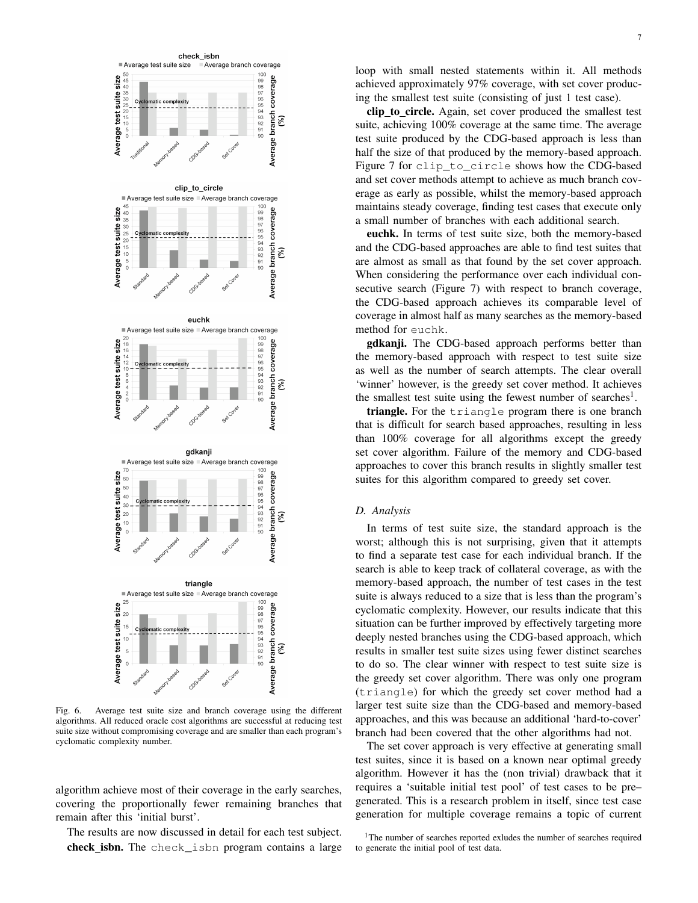

Fig. 6. Average test suite size and branch coverage using the different algorithms. All reduced oracle cost algorithms are successful at reducing test suite size without compromising coverage and are smaller than each program's cyclomatic complexity number.

algorithm achieve most of their coverage in the early searches, covering the proportionally fewer remaining branches that remain after this 'initial burst'.

The results are now discussed in detail for each test subject. check isbn. The check\_isbn program contains a large loop with small nested statements within it. All methods

ing the smallest test suite (consisting of just 1 test case). clip to circle. Again, set cover produced the smallest test suite, achieving 100% coverage at the same time. The average test suite produced by the CDG-based approach is less than half the size of that produced by the memory-based approach. Figure 7 for clip\_to\_circle shows how the CDG-based and set cover methods attempt to achieve as much branch coverage as early as possible, whilst the memory-based approach maintains steady coverage, finding test cases that execute only a small number of branches with each additional search.

achieved approximately 97% coverage, with set cover produc-

euchk. In terms of test suite size, both the memory-based and the CDG-based approaches are able to find test suites that are almost as small as that found by the set cover approach. When considering the performance over each individual consecutive search (Figure 7) with respect to branch coverage, the CDG-based approach achieves its comparable level of coverage in almost half as many searches as the memory-based method for euchk.

gdkanji. The CDG-based approach performs better than the memory-based approach with respect to test suite size as well as the number of search attempts. The clear overall 'winner' however, is the greedy set cover method. It achieves the smallest test suite using the fewest number of searches<sup>1</sup>.

triangle. For the triangle program there is one branch that is difficult for search based approaches, resulting in less than 100% coverage for all algorithms except the greedy set cover algorithm. Failure of the memory and CDG-based approaches to cover this branch results in slightly smaller test suites for this algorithm compared to greedy set cover.

#### *D. Analysis*

In terms of test suite size, the standard approach is the worst; although this is not surprising, given that it attempts to find a separate test case for each individual branch. If the search is able to keep track of collateral coverage, as with the memory-based approach, the number of test cases in the test suite is always reduced to a size that is less than the program's cyclomatic complexity. However, our results indicate that this situation can be further improved by effectively targeting more deeply nested branches using the CDG-based approach, which results in smaller test suite sizes using fewer distinct searches to do so. The clear winner with respect to test suite size is the greedy set cover algorithm. There was only one program (triangle) for which the greedy set cover method had a larger test suite size than the CDG-based and memory-based approaches, and this was because an additional 'hard-to-cover' branch had been covered that the other algorithms had not.

The set cover approach is very effective at generating small test suites, since it is based on a known near optimal greedy algorithm. However it has the (non trivial) drawback that it requires a 'suitable initial test pool' of test cases to be pre– generated. This is a research problem in itself, since test case generation for multiple coverage remains a topic of current

<sup>1</sup>The number of searches reported exludes the number of searches required to generate the initial pool of test data.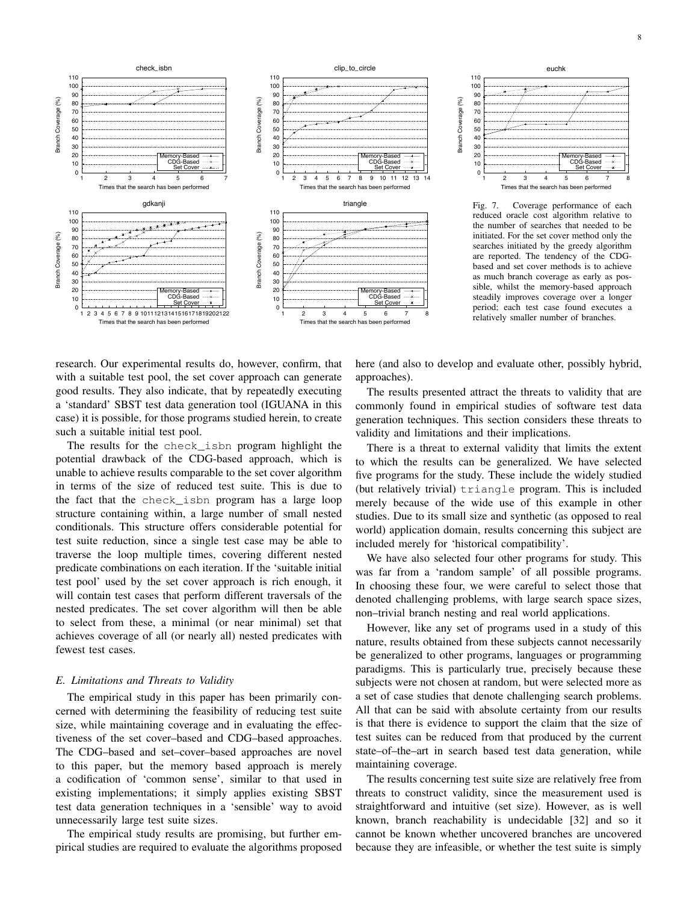



Fig. 7. Coverage performance of each reduced oracle cost algorithm relative to the number of searches that needed to be initiated. For the set cover method only the searches initiated by the greedy algorithm are reported. The tendency of the CDGbased and set cover methods is to achieve as much branch coverage as early as possible, whilst the memory-based approach steadily improves coverage over a longer period; each test case found executes a relatively smaller number of branches.

research. Our experimental results do, however, confirm, that with a suitable test pool, the set cover approach can generate good results. They also indicate, that by repeatedly executing a 'standard' SBST test data generation tool (IGUANA in this case) it is possible, for those programs studied herein, to create such a suitable initial test pool.

The results for the check\_isbn program highlight the potential drawback of the CDG-based approach, which is unable to achieve results comparable to the set cover algorithm in terms of the size of reduced test suite. This is due to the fact that the check\_isbn program has a large loop structure containing within, a large number of small nested conditionals. This structure offers considerable potential for test suite reduction, since a single test case may be able to traverse the loop multiple times, covering different nested predicate combinations on each iteration. If the 'suitable initial test pool' used by the set cover approach is rich enough, it will contain test cases that perform different traversals of the nested predicates. The set cover algorithm will then be able to select from these, a minimal (or near minimal) set that achieves coverage of all (or nearly all) nested predicates with fewest test cases.

#### *E. Limitations and Threats to Validity*

The empirical study in this paper has been primarily concerned with determining the feasibility of reducing test suite size, while maintaining coverage and in evaluating the effectiveness of the set cover–based and CDG–based approaches. The CDG–based and set–cover–based approaches are novel to this paper, but the memory based approach is merely a codification of 'common sense', similar to that used in existing implementations; it simply applies existing SBST test data generation techniques in a 'sensible' way to avoid unnecessarily large test suite sizes.

The empirical study results are promising, but further empirical studies are required to evaluate the algorithms proposed here (and also to develop and evaluate other, possibly hybrid, approaches).

The results presented attract the threats to validity that are commonly found in empirical studies of software test data generation techniques. This section considers these threats to validity and limitations and their implications.

There is a threat to external validity that limits the extent to which the results can be generalized. We have selected five programs for the study. These include the widely studied (but relatively trivial) triangle program. This is included merely because of the wide use of this example in other studies. Due to its small size and synthetic (as opposed to real world) application domain, results concerning this subject are included merely for 'historical compatibility'.

We have also selected four other programs for study. This was far from a 'random sample' of all possible programs. In choosing these four, we were careful to select those that denoted challenging problems, with large search space sizes, non–trivial branch nesting and real world applications.

However, like any set of programs used in a study of this nature, results obtained from these subjects cannot necessarily be generalized to other programs, languages or programming paradigms. This is particularly true, precisely because these subjects were not chosen at random, but were selected more as a set of case studies that denote challenging search problems. All that can be said with absolute certainty from our results is that there is evidence to support the claim that the size of test suites can be reduced from that produced by the current state–of–the–art in search based test data generation, while maintaining coverage.

The results concerning test suite size are relatively free from threats to construct validity, since the measurement used is straightforward and intuitive (set size). However, as is well known, branch reachability is undecidable [32] and so it cannot be known whether uncovered branches are uncovered because they are infeasible, or whether the test suite is simply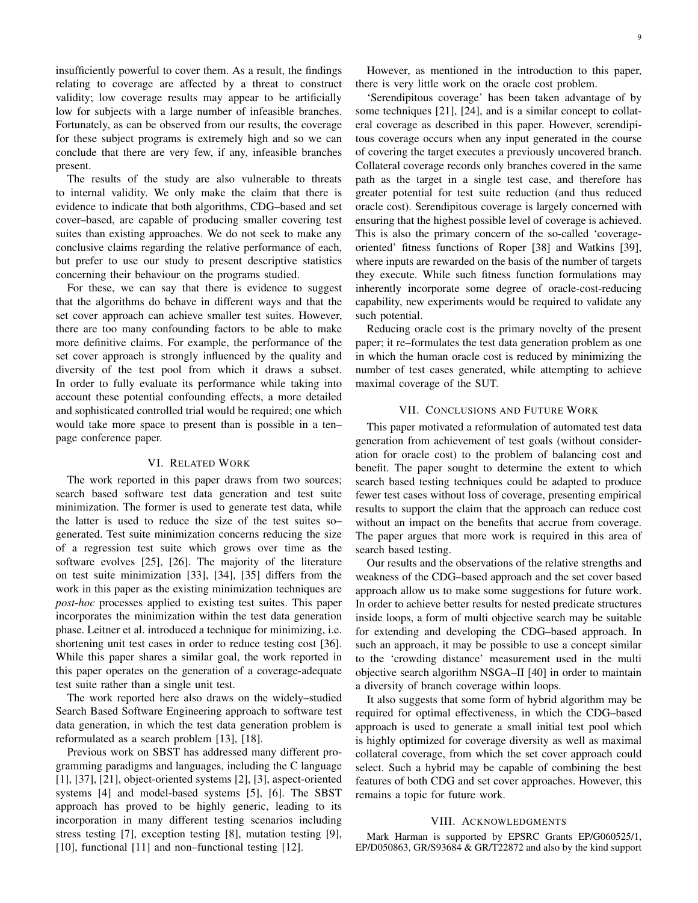insufficiently powerful to cover them. As a result, the findings relating to coverage are affected by a threat to construct validity; low coverage results may appear to be artificially low for subjects with a large number of infeasible branches. Fortunately, as can be observed from our results, the coverage for these subject programs is extremely high and so we can conclude that there are very few, if any, infeasible branches present.

The results of the study are also vulnerable to threats to internal validity. We only make the claim that there is evidence to indicate that both algorithms, CDG–based and set cover–based, are capable of producing smaller covering test suites than existing approaches. We do not seek to make any conclusive claims regarding the relative performance of each, but prefer to use our study to present descriptive statistics concerning their behaviour on the programs studied.

For these, we can say that there is evidence to suggest that the algorithms do behave in different ways and that the set cover approach can achieve smaller test suites. However, there are too many confounding factors to be able to make more definitive claims. For example, the performance of the set cover approach is strongly influenced by the quality and diversity of the test pool from which it draws a subset. In order to fully evaluate its performance while taking into account these potential confounding effects, a more detailed and sophisticated controlled trial would be required; one which would take more space to present than is possible in a ten– page conference paper.

#### VI. RELATED WORK

The work reported in this paper draws from two sources; search based software test data generation and test suite minimization. The former is used to generate test data, while the latter is used to reduce the size of the test suites so– generated. Test suite minimization concerns reducing the size of a regression test suite which grows over time as the software evolves [25], [26]. The majority of the literature on test suite minimization [33], [34], [35] differs from the work in this paper as the existing minimization techniques are *post-hoc* processes applied to existing test suites. This paper incorporates the minimization within the test data generation phase. Leitner et al. introduced a technique for minimizing, i.e. shortening unit test cases in order to reduce testing cost [36]. While this paper shares a similar goal, the work reported in this paper operates on the generation of a coverage-adequate test suite rather than a single unit test.

The work reported here also draws on the widely–studied Search Based Software Engineering approach to software test data generation, in which the test data generation problem is reformulated as a search problem [13], [18].

Previous work on SBST has addressed many different programming paradigms and languages, including the C language [1], [37], [21], object-oriented systems [2], [3], aspect-oriented systems [4] and model-based systems [5], [6]. The SBST approach has proved to be highly generic, leading to its incorporation in many different testing scenarios including stress testing [7], exception testing [8], mutation testing [9], [10], functional [11] and non–functional testing [12].

However, as mentioned in the introduction to this paper, there is very little work on the oracle cost problem.

'Serendipitous coverage' has been taken advantage of by some techniques [21], [24], and is a similar concept to collateral coverage as described in this paper. However, serendipitous coverage occurs when any input generated in the course of covering the target executes a previously uncovered branch. Collateral coverage records only branches covered in the same path as the target in a single test case, and therefore has greater potential for test suite reduction (and thus reduced oracle cost). Serendipitous coverage is largely concerned with ensuring that the highest possible level of coverage is achieved. This is also the primary concern of the so-called 'coverageoriented' fitness functions of Roper [38] and Watkins [39], where inputs are rewarded on the basis of the number of targets they execute. While such fitness function formulations may inherently incorporate some degree of oracle-cost-reducing capability, new experiments would be required to validate any such potential.

Reducing oracle cost is the primary novelty of the present paper; it re–formulates the test data generation problem as one in which the human oracle cost is reduced by minimizing the number of test cases generated, while attempting to achieve maximal coverage of the SUT.

#### VII. CONCLUSIONS AND FUTURE WORK

This paper motivated a reformulation of automated test data generation from achievement of test goals (without consideration for oracle cost) to the problem of balancing cost and benefit. The paper sought to determine the extent to which search based testing techniques could be adapted to produce fewer test cases without loss of coverage, presenting empirical results to support the claim that the approach can reduce cost without an impact on the benefits that accrue from coverage. The paper argues that more work is required in this area of search based testing.

Our results and the observations of the relative strengths and weakness of the CDG–based approach and the set cover based approach allow us to make some suggestions for future work. In order to achieve better results for nested predicate structures inside loops, a form of multi objective search may be suitable for extending and developing the CDG–based approach. In such an approach, it may be possible to use a concept similar to the 'crowding distance' measurement used in the multi objective search algorithm NSGA–II [40] in order to maintain a diversity of branch coverage within loops.

It also suggests that some form of hybrid algorithm may be required for optimal effectiveness, in which the CDG–based approach is used to generate a small initial test pool which is highly optimized for coverage diversity as well as maximal collateral coverage, from which the set cover approach could select. Such a hybrid may be capable of combining the best features of both CDG and set cover approaches. However, this remains a topic for future work.

#### VIII. ACKNOWLEDGMENTS

Mark Harman is supported by EPSRC Grants EP/G060525/1, EP/D050863, GR/S93684 & GR/T22872 and also by the kind support